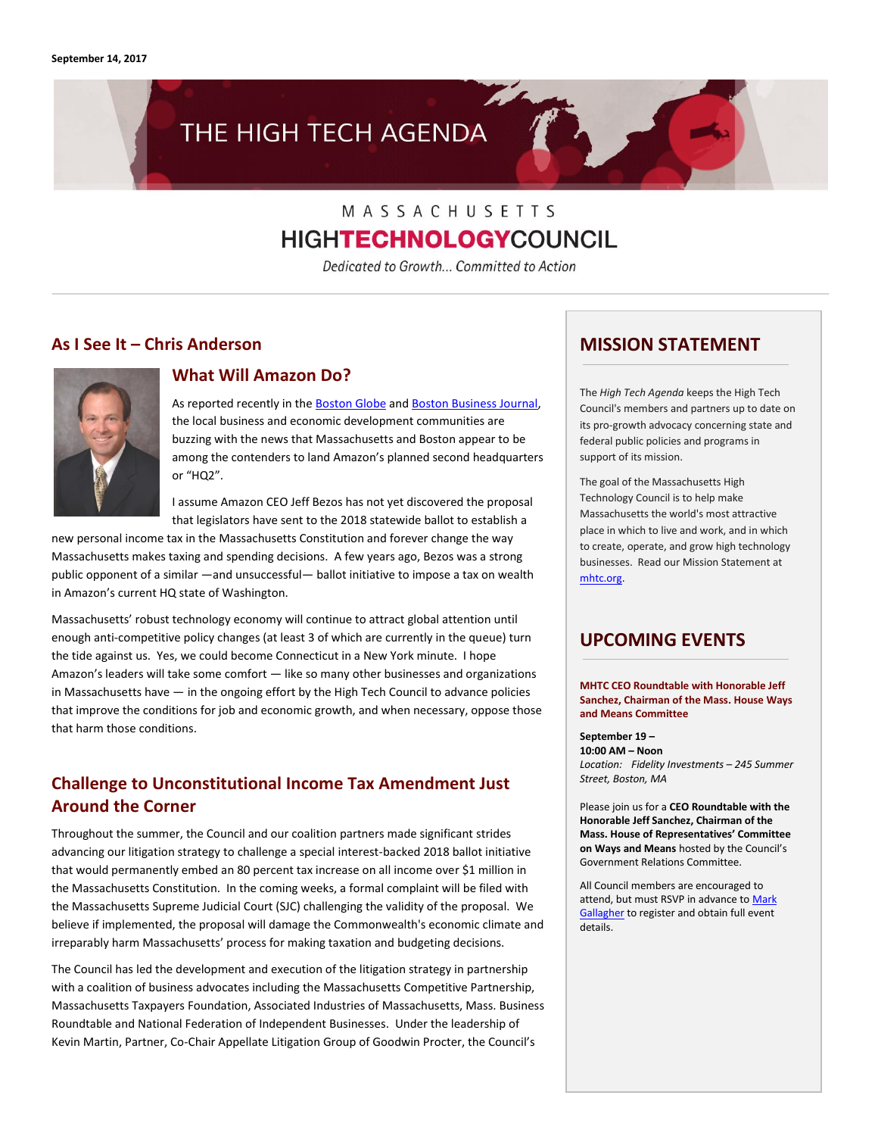# THE HIGH TECH AGENDA

## MASSACHUSETTS **HIGHTECHNOLOGYCOUNCIL**

Dedicated to Growth... Committed to Action

### **As I See It – Chris Anderson**



### **What Will Amazon Do?**

As reported recently in the **Boston Globe** and **Boston Business Journal**, the local business and economic development communities are buzzing with the news that Massachusetts and Boston appear to be among the contenders to land Amazon's planned second headquarters or "HQ2".

I assume Amazon CEO Jeff Bezos has not yet discovered the proposal that legislators have sent to the 2018 statewide ballot to establish a

new personal income tax in the Massachusetts Constitution and forever change the way Massachusetts makes taxing and spending decisions. A few years ago, Bezos was a strong public opponent of a similar —and unsuccessful— ballot initiative to impose a tax on wealth in Amazon's current HQ state of Washington.

Massachusetts' robust technology economy will continue to attract global attention until enough anti-competitive policy changes (at least 3 of which are currently in the queue) turn the tide against us. Yes, we could become Connecticut in a New York minute. I hope Amazon's leaders will take some comfort — like so many other businesses and organizations in Massachusetts have — in the ongoing effort by the High Tech Council to advance policies that improve the conditions for job and economic growth, and when necessary, oppose those that harm those conditions.

### **Challenge to Unconstitutional Income Tax Amendment Just Around the Corner**

Throughout the summer, the Council and our coalition partners made significant strides advancing our litigation strategy to challenge a special interest-backed 2018 ballot initiative that would permanently embed an 80 percent tax increase on all income over \$1 million in the Massachusetts Constitution. In the coming weeks, a formal complaint will be filed with the Massachusetts Supreme Judicial Court (SJC) challenging the validity of the proposal. We believe if implemented, the proposal will damage the Commonwealth's economic climate and irreparably harm Massachusetts' process for making taxation and budgeting decisions.

The Council has led the development and execution of the litigation strategy in partnership with a coalition of business advocates including the Massachusetts Competitive Partnership, Massachusetts Taxpayers Foundation, Associated Industries of Massachusetts, Mass. Business Roundtable and National Federation of Independent Businesses. Under the leadership of Kevin Martin, Partner, Co-Chair Appellate Litigation Group of Goodwin Procter, the Council's

### **MISSION STATEMENT**

The *High Tech Agenda* keeps the High Tech Council's members and partners up to date on its pro-growth advocacy concerning state and federal public policies and programs in support of its mission.

The goal of the Massachusetts High Technology Council is to help make Massachusetts the world's most attractive place in which to live and work, and in which to create, operate, and grow high technology businesses. Read our Mission Statement at [mhtc.org.](http://www.mhtc.org/)

### **UPCOMING EVENTS**

**MHTC CEO Roundtable with Honorable Jeff Sanchez, Chairman of the Mass. House Ways and Means Committee**

**September 19 – 10:00 AM – Noon** *Location: Fidelity Investments – 245 Summer Street, Boston, MA*

Please join us for a **CEO Roundtable with the Honorable Jeff Sanchez, Chairman of the Mass. House of Representatives' Committee on Ways and Means** hosted by the Council's Government Relations Committee.

All Council members are encouraged to attend, but must RSVP in advance to Mark [Gallagher](http://mail%20to:mark@mhtc.org/) to register and obtain full event details.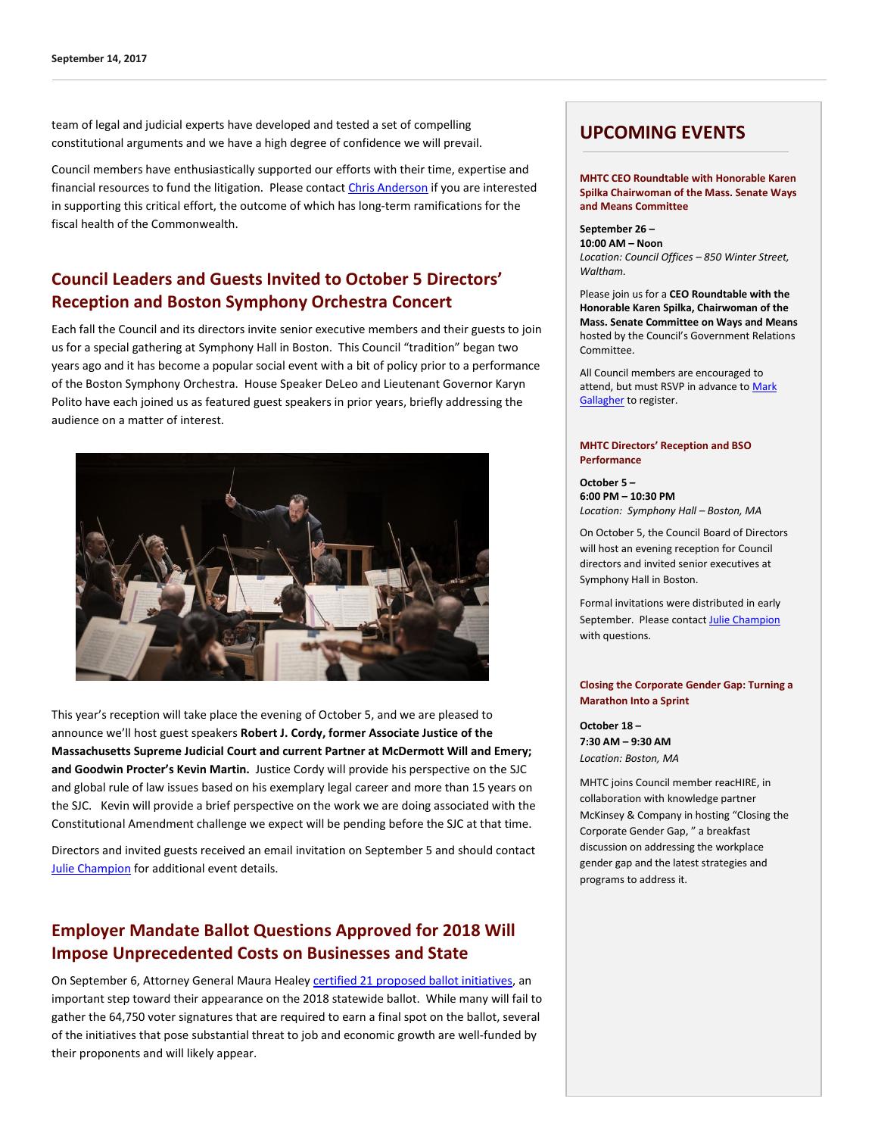team of legal and judicial experts have developed and tested a set of compelling constitutional arguments and we have a high degree of confidence we will prevail.

Council members have enthusiastically supported our efforts with their time, expertise and financial resources to fund the litigation. Please contact [Chris Anderson](mailto:chris@mhtc.org) if you are interested in supporting this critical effort, the outcome of which has long-term ramifications for the fiscal health of the Commonwealth.

### **Council Leaders and Guests Invited to October 5 Directors' Reception and Boston Symphony Orchestra Concert**

Each fall the Council and its directors invite senior executive members and their guests to join us for a special gathering at Symphony Hall in Boston. This Council "tradition" began two years ago and it has become a popular social event with a bit of policy prior to a performance of the Boston Symphony Orchestra. House Speaker DeLeo and Lieutenant Governor Karyn Polito have each joined us as featured guest speakers in prior years, briefly addressing the audience on a matter of interest.



This year's reception will take place the evening of October 5, and we are pleased to announce we'll host guest speakers **Robert J. Cordy, former Associate Justice of the Massachusetts Supreme Judicial Court and current Partner at McDermott Will and Emery; and Goodwin Procter's Kevin Martin.** Justice Cordy will provide his perspective on the SJC and global rule of law issues based on his exemplary legal career and more than 15 years on the SJC. Kevin will provide a brief perspective on the work we are doing associated with the Constitutional Amendment challenge we expect will be pending before the SJC at that time.

Directors and invited guests received an email invitation on September 5 and should contact **[Julie Champion](mailto:julie@mhtc.org?subject=MHTC%202017%20Directors)** for additional event details.

### **Employer Mandate Ballot Questions Approved for 2018 Will Impose Unprecedented Costs on Businesses and State**

On September 6, Attorney General Maura Heale[y certified 21 proposed ballot initiatives,](http://www.bostonglobe.com/metro/2017/09/06/millionaire-tax-paid-leave-clear-ballot-hurdles/o7NqYdFpJdwSivZeWz4hxJ/story.html?et_rid=1822216659&s_campaign=weekinpolitics:newsletter) an important step toward their appearance on the 2018 statewide ballot. While many will fail to gather the 64,750 voter signatures that are required to earn a final spot on the ballot, several of the initiatives that pose substantial threat to job and economic growth are well-funded by their proponents and will likely appear.

### **UPCOMING EVENTS**

**MHTC CEO Roundtable with Honorable Karen Spilka Chairwoman of the Mass. Senate Ways and Means Committee**

**September 26 – 10:00 AM – Noon** *Location: Council Offices – 850 Winter Street, Waltham.*

Please join us for a **CEO Roundtable with the Honorable Karen Spilka, Chairwoman of the Mass. Senate Committee on Ways and Means**  hosted by the Council's Government Relations Committee.

All Council members are encouraged to attend, but must RSVP in advance to [Mark](http://mail%20to:mark@mhtc.org/)  [Gallagher](http://mail%20to:mark@mhtc.org/) to register.

#### **MHTC Directors' Reception and BSO Performance**

**October 5 – 6:00 PM – 10:30 PM** *Location: Symphony Hall – Boston, MA*

On October 5, the Council Board of Directors will host an evening reception for Council directors and invited senior executives at Symphony Hall in Boston.

Formal invitations were distributed in early September. Please contact [Julie Champion](mailto:julie@mhtc.org?subject=MHTC%20Directors%20Reception%20&%20Concert) with questions.

#### **Closing the Corporate Gender Gap: Turning a Marathon Into a Sprint**

**October 18 – 7:30 AM – 9:30 AM** *Location: Boston, MA*

MHTC joins Council member reacHIRE, in collaboration with knowledge partner McKinsey & Company in hosting "Closing the Corporate Gender Gap, " a breakfast discussion on addressing the workplace gender gap and the latest strategies and programs to address it.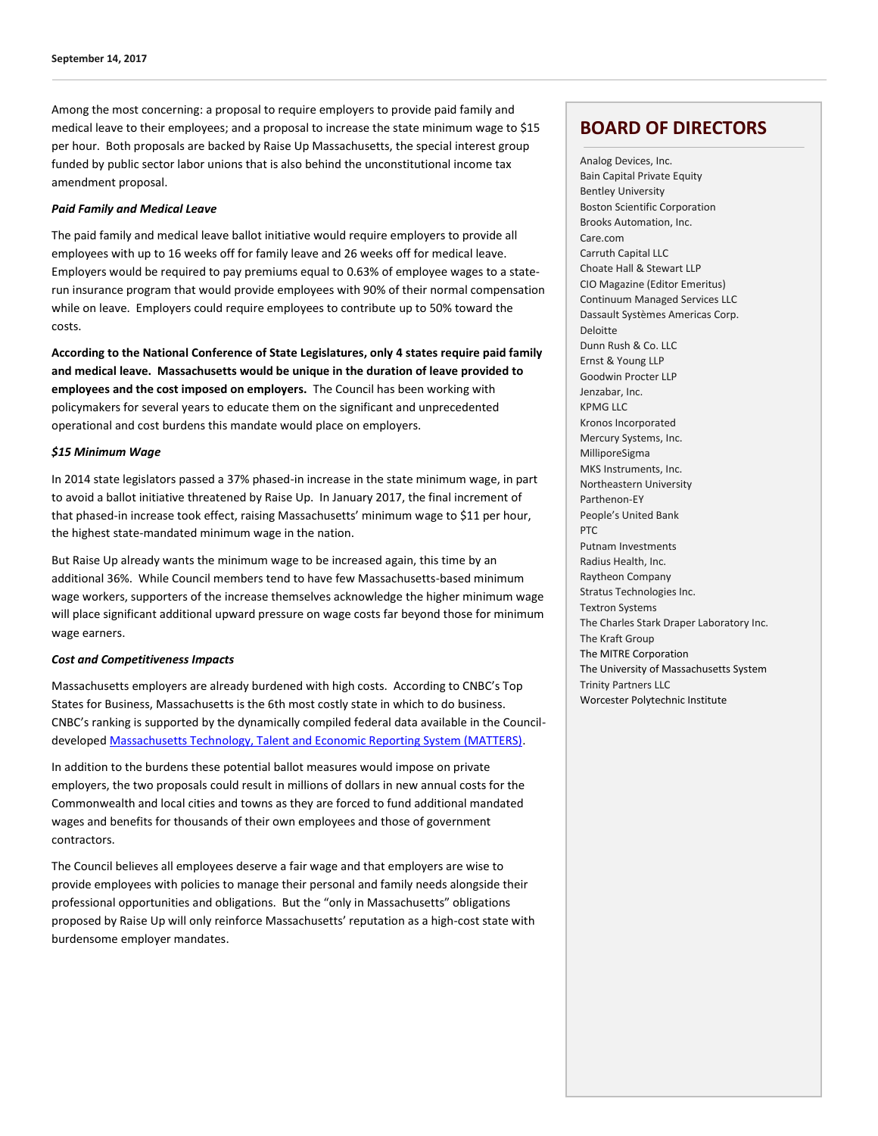Among the most concerning: a proposal to require employers to provide paid family and medical leave to their employees; and a proposal to increase the state minimum wage to \$15 per hour. Both proposals are backed by Raise Up Massachusetts, the special interest group funded by public sector labor unions that is also behind the unconstitutional income tax amendment proposal.

#### *Paid Family and Medical Leave*

The paid family and medical leave ballot initiative would require employers to provide all employees with up to 16 weeks off for family leave and 26 weeks off for medical leave. Employers would be required to pay premiums equal to 0.63% of employee wages to a staterun insurance program that would provide employees with 90% of their normal compensation while on leave. Employers could require employees to contribute up to 50% toward the costs.

**According to the National Conference of State Legislatures, only 4 states require paid family and medical leave. Massachusetts would be unique in the duration of leave provided to employees and the cost imposed on employers.** The Council has been working with policymakers for several years to educate them on the significant and unprecedented operational and cost burdens this mandate would place on employers.

#### *\$15 Minimum Wage*

In 2014 state legislators passed a 37% phased-in increase in the state minimum wage, in part to avoid a ballot initiative threatened by Raise Up. In January 2017, the final increment of that phased-in increase took effect, raising Massachusetts' minimum wage to \$11 per hour, the highest state-mandated minimum wage in the nation.

But Raise Up already wants the minimum wage to be increased again, this time by an additional 36%. While Council members tend to have few Massachusetts-based minimum wage workers, supporters of the increase themselves acknowledge the higher minimum wage will place significant additional upward pressure on wage costs far beyond those for minimum wage earners.

#### *Cost and Competitiveness Impacts*

Massachusetts employers are already burdened with high costs. According to CNBC's Top States for Business, Massachusetts is the 6th most costly state in which to do business. CNBC's ranking is supported by the dynamically compiled federal data available in the Councildevelope[d Massachusetts Technology, Talent and Economic Reporting System \(MATTERS\).](http://matters.mhtc.org/profile)

In addition to the burdens these potential ballot measures would impose on private employers, the two proposals could result in millions of dollars in new annual costs for the Commonwealth and local cities and towns as they are forced to fund additional mandated wages and benefits for thousands of their own employees and those of government contractors.

The Council believes all employees deserve a fair wage and that employers are wise to provide employees with policies to manage their personal and family needs alongside their professional opportunities and obligations. But the "only in Massachusetts" obligations proposed by Raise Up will only reinforce Massachusetts' reputation as a high-cost state with burdensome employer mandates.

### **BOARD OF DIRECTORS**

Analog Devices, Inc. Bain Capital Private Equity Bentley University Boston Scientific Corporation Brooks Automation, Inc. Care.com Carruth Capital LLC Choate Hall & Stewart LLP CIO Magazine (Editor Emeritus) Continuum Managed Services LLC Dassault Systèmes Americas Corp. Deloitte Dunn Rush & Co. LLC Ernst & Young LLP Goodwin Procter LLP Jenzabar, Inc. KPMG LLC Kronos Incorporated Mercury Systems, Inc. MilliporeSigma MKS Instruments, Inc. Northeastern University Parthenon-EY People's United Bank PTC Putnam Investments Radius Health, Inc. Raytheon Company Stratus Technologies Inc. Textron Systems The Charles Stark Draper Laboratory Inc. The Kraft Group The MITRE Corporation The University of Massachusetts System Trinity Partners LLC Worcester Polytechnic Institute